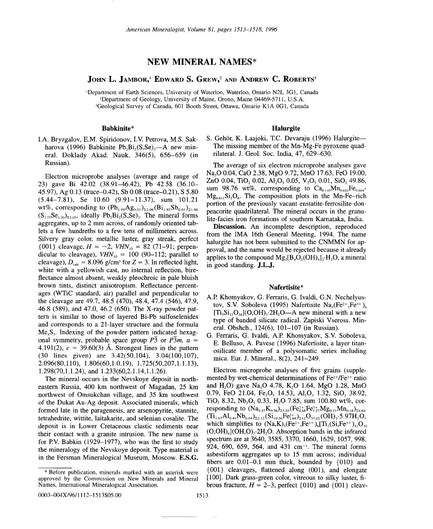## NEW MINERAL NAMES\*

### JOHN L. JAMBOR,<sup>1</sup> EDWARD S. GREW<sup>2</sup> AND ANDREW C. ROBERTS<sup>3</sup>

'Department of Earth Sciences, University of Waterloo, Waterloo, Ontario N2L 3G1, Canada 'Department of Geology, University of Maine, Orono, Maine 04469-5711, U.S.A. 'Geological Survey of Canada, 601 Booth Street, Ottawa, Ontario KIA OGI, Canada

### Babkinite\*

LA. Bryzgalov, E.M. Spiridonov, LV. Petrova, M.S. Sakharova (1996) Babkinite Pb<sub>2</sub>Bi<sub>2</sub>(S,Se)<sub>3</sub>-A new mineral. Doklady Akad. Nauk, 346(5), 656-659 (in Russian).

Electron microprobe analyses (average and range of 23) gave Bi 42.02 (38.91-46.42), Pb 42.58 (36.10- 45.97), Ag 0.13 (trace-0.42), Sb 0.08 (trace-0.21), S 5.80 (5.44-7.81), Se 10.60 (9.91-11.37), sum 101.21 wt%, corresponding to  $(Pb_{1.99}Ag_{0.01})_{\Sigma2.00}(Bi_{1.95}Sb_{0.01})_{\Sigma1.96}$  $(S<sub>1.75</sub>Se<sub>1.30</sub>)<sub>23.05</sub>$ , ideally Pb<sub>2</sub>Bi<sub>2</sub>(S,Se)<sub>3</sub>. The mineral forms aggregates, up to 2 mm across, of randomly oriented tablets a few hundreths to a few tens of millimeters across. Silvery gray color, metallic luster, gray streak, perfect {001} cleavage,  $H = -2$ ,  $VHN_{10} = 82$  (71-91; perpendicular to cleavage),  $VHN_{10} = 100 (90-112)$ ; parallel to cleavage),  $D_{\text{calc}} = 8.096$  g/cm<sup>3</sup> for  $Z = 3$ . In reflected light, white with a yellowish cast, no internal reflection, bireflectance almost absent, weakly pleochroic in pale bluish brown tints, distinct anisotropism. Reflectance percentages (WTiC standard, air) parallel and perpendicular to the cleavage are 49.7, 48.5 (470), 48.4, 47.4 (546), 47.9, 46.8 (589), and 47.0, 46.2 (650). The X-ray powder pattern is similar to those of layered Bi-Pb sulfoselenides and corresponds to a 21-layer structure and the formula  $Me<sub>4</sub>S<sub>3</sub>$ . Indexing of the powder pattern indicated hexagonal symmetry, probable space group  $\overline{P3}$  or  $\overline{P3}m$ ,  $\overline{a} =$ 4.191(2),  $c = 39.60(3)$  Å. Strongest lines in the pattern (30 lines given) are 3.42(50,104), 3.04(100,107), 2.096(80,110), 1.806(60,1.0.19), 1.725(50,207,1.1.13), 1.298(70,1.1.24), and 1.233(60,2.1.14,1.1.26).

The mineral occurs in the Nevskoye deposit in northeastern Russia, 400 km northwest of Magadan, 25 km northwest of Omsukchan village, and 35 km southwest of the Dukat Au-Ag deposit. Associated minerals, which formed late in the paragenesis, are arsenopyrite, stannite, tetrahedrite, wittite, laitakarite, and selenian cosalite. The deposit is in Lower Cretaceous clastic sediments near their contact with a granite intrusion. The new name is for P.V. Babkin (1929-1977), who was the first to study the mineralogy of the Nevskoye deposit. Type material is in the Fersman Mineralogical Museum, Moscow. E.S.G.

#### Halurgite

S. Gehör, K. Laajoki, T.C. Devaraju (1996) Halurgite-The missing member of the Mn-Mg-Fe pyroxene quadrilateral. J. Geol. Soc. India, 47, 629-630.

The average of six electron microprobe analyses gave Na20 0.04, CaO 2.38, MgO 9.72, MnO 17.63, FeO 19.00, ZnO 0.04, TiO, 0.02, Al,O, 0.05, V<sub>2</sub>O, 0.01, SiO, 49.86, sum 98.76 wt%, corresponding to  $Ca<sub>0.10</sub>Mn<sub>0.624</sub>Fe<sub>0.664</sub>$  $Mg_{0.61}Si_2O_6$ . The composition plots in the Mn-Fe-rich portion of the previously vacant enstatite-ferrosilite-donpeacorite quadrilateral. The mineral occurs in the granulite-facies iron formations of southern Karnataka, India.

Discussion. An incomplete description, reproduced from the IMA 16th General Meeting, 1994. The name halurgite has not been submitted to the CNMMN for approval, and the name would be rejected because it already applies to the compound  $Mg_2[B_4O_5(OH)_4]_2 \cdot H_2O$ , a mineral in good standing. J.L.J.

#### Nafertisite\*

- A.P. Khomyakov, G. Ferraris, G. Ivaldi, G.N. Nechelyustov, S.V. Soboleva (1995) Nafertisite Na<sub>3</sub>(Fe<sup>2+</sup>,Fe<sup>3+</sup>)<sub>6</sub>  $[T_i, Si_i, O_i]$  $(O, OH)_i$  $2H_2O-A$  new mineral with a new type of banded silicate radical. Zapiski Vseross. Mineral. Obshch., 124(6), 101-107 (in Russian).
- G. Ferraris, G. Ivaldi, A.P. Khomyakov, S.v. Soboleva, E. Belluso, A. Pavese (1996) Nafertisite, a layer titanosilicate member of a polysomatic series including mica. Eur. J. Mineral., 8(2), 241-249.

Electron microprobe analyses of five grains (supplemented by wet-chemical determinations of Fe2+*IFe3+*ratio and H<sub>2</sub>O) gave Na<sub>2</sub>O 4.78, K<sub>2</sub>O 1.64, MgO 1.28, MnO 0.79, FeO 21.04, Fe<sub>2</sub>O<sub>3</sub> 14.53, Al<sub>2</sub>O<sub>3</sub> 1.32, SiO<sub>2</sub> 38.92, TiO<sub>2</sub> 8.32, Nb<sub>2</sub>O<sub>5</sub> 0.33, H<sub>2</sub>O 7.85, sum 100.80 wt%, corresponding to  $(N a_{2.47}K_{0.56})_{23.03}$   $(Fe_{4.68}^{2+}Fe_{1.7}^{3+}Mg_{0.51}Mn_{0.18})_{26.64}$  $(\text{Ti}_{1.67}\text{Al}_{0.41}\text{Nb}_{0.04})_{\Sigma2.12}(\text{Si}_{10.36}\text{Fe}_{1.64}^{3+})_{\Sigma12}\text{O}_{35.02}(\text{OH})_{2}\cdot5.97\text{H}_{2}\text{O},$ which simplifies to  $(Na,K)_{3}(Fe^{2+},Fe^{3+})_{6}[Ti_{2}(Si,Fe^{3+})_{12}O_{30}]$  $(O, OH)_4$ ] $(OH, O)_7$  $2H, O.$  Absorption bands in the infrared spectrum are at 3640, 3585, 3370, 1660, 1629, 1057, 998, 924, 690, 659, 564, and 431 cm<sup>-1</sup>. The mineral forms asbestiform aggregates up to 15 mm across; individual fibers are 0.01-0.1 mm thick, bounded by {01O} and {001} cleavages, flattened along (001), and elongate [100]. Dark grass-green color, vitreous to silky luster, fibrous fracture,  $H = 2-3$ , perfect  $\{010\}$  and  $\{001\}$  cleav-

<sup>\*</sup> Before publication, minerals marked with an asterisk were approved by the Commission on New Minerals and Mineral Names, International Mineralogical Association.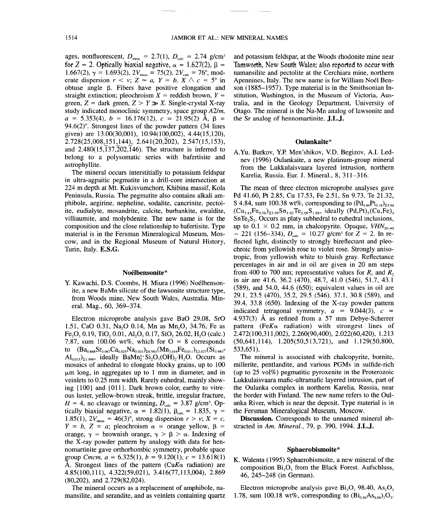ages, nonfluorescent,  $D_{\text{meas}} = 2.7(1)$ ,  $D_{\text{calc}} = 2.74$  g/cm<sup>3</sup> for  $Z = 2$ . Optically biaxial negative,  $\alpha = 1.627(2)$ ,  $\beta =$ 1.667(2),  $\gamma = 1.693(2)$ ,  $2V_{\text{meas}} = 75(2)$ ,  $2V_{\text{calc}} = 76^{\circ}$ , moderate dispersion  $r < v$ ;  $Z \approx a$ ,  $Y = b$ ,  $X \wedge c = 5^{\circ}$  in obtuse angle  $\beta$ . Fibers have positive elongation and straight extinction; pleochroism  $X =$  reddish brown,  $Y =$ green,  $Z =$  dark green,  $Z > Y \gg X$ . Single-crystal X-ray study indicated monoclinic symmetry, space group  $A2/m$ ,  $a = 5.353(4)$ ,  $b = 16.176(12)$ ,  $c = 21.95(2)$  Å,  $\beta =$ 94.6(2) $^{\circ}$ . Strongest lines of the powder pattern (34 lines given) are 13.00(30,001), 10.94(102,002), 4.44(15,120), *2.728(25,008,151J441* 2.641(20,202), 2.547(15,153), and  $2.480(15,137,202,146)$ . The structure is inferred to belong to a polysomatic series with bafertisite and astrophyllite.

The mineral occurs interstitially to potassium feldspar in ultra-agpaitic pegmatite in a drill-core intersection at 224 m depth at Mt. Kukisvumchorr, Khibina massif, Kola Peninsula, Russia. The pegmatite also contains alkali amphibole, aegirine, nepheline, sodalite, cancrinite, pectolite, eudialyte, mosandrite, calcite, burbankite, ewaldite, villiaumite, and molybdenite. The new name is for the composition and the close relationship to bafertisite. Type material is in the Fersman Mineralogical Museum, Moscow, and in the Regional Museum of Natural History, Turin, Italy. E.S.G.

### Noélbensonite\*

Y. Kawachi, D.S. Coombs, H. Miura (1996) Noélbensonite, a new BaMn silicate of the lawsonite structure type, from Woods mine, New South Wales, Australia. Mineral. Mag., 60, 369-374.

Electron microprobe analysis gave BaO 29.08, SrO 1.51, CaO 0.31, Na<sub>2</sub>O 0.14, Mn as Mn<sub>2</sub>O<sub>3</sub> 34.76, Fe as Fe<sub>2</sub>O<sub>3</sub> 0.19, TiO<sub>2</sub> 0.01, Al<sub>2</sub>O<sub>3</sub> 0.17, SiO<sub>2</sub> 26.02, H<sub>2</sub>O (calc.) 7.87, sum 100.06 wt%, which for  $O = 8$  corresponds to  $(Ba_{0.868}Sr_{0.067}Ca_{0.025}Na_{0.021})_{\Sigma 0.981}(Mn_{2.016}Fe_{0.011})_{\Sigma 2.027}(Si_{1.983}$  $\text{Al}_{0.015}$ )<sub>21.998</sub>, ideally BaMn<sup>3+</sup>Si<sub>2</sub>O<sub>7</sub>(OH)<sub>2</sub>·H<sub>2</sub>O. Occurs as mosaics of anhedral to elongate blocky grains, up to 100  $\mu$ m long, in aggregates up to 1 mm in diameter, and in veinlets to 0.25 mm width. Rarely euhedral, mainly showing {100} and {O11 }. Dark brown color, earthy to vitreous luster, yellow-brown streak, brittle, irregular fracture,  $H = 4$ , no cleavage or twinning,  $D_{\text{calc}} = 3.87$  *g/cm<sup>3</sup>*. Optically biaxial negative,  $\alpha = 1.82(1)$ ,  $\beta_{\text{calc}} = 1.835$ ,  $\gamma =$ 1.85(1),  $2V_{\text{meas}} = 46(3)^\circ$ , strong dispersion  $r > v$ ;  $X = c$ ,  $Y = b$ ,  $Z = a$ ; pleochroism  $\alpha$  = orange yellow,  $\beta$  = orange,  $\gamma$  = brownish orange,  $\gamma > \beta > \alpha$ . Indexing of the X-ray powder pattern by analogy with data for hennomartinite gave orthorhombic symmetry, probable space group *Cmcm*,  $a = 6.325(1)$ ,  $b = 9.120(1)$ ,  $c = 13.618(1)$ A. Strongest lines of the pattern *(CuK* $\alpha$  radiation) are 4.85(100,111), 4.322(59,021), 3.416(77,113,004), 2.869 (80,202), and 2.729(82,024).

The mineral occurs as a replacement of amphibole, namansilite, and serandite, and as veinlets containing quartz and potassium feldspar, at the Woods rhodonite mine near Tamworth, New South Wales: also reported to occur with namansilite and pectolite at the Cerchiara mine, northern Apennines, Italy. The new name is for William Noél Benson (1885-1957). Type material is in the Smithsonian Institution, Washington, in the Museum of Victoria, Australia, and in the Geology Department, University of Otago. The mineral is the Na-Mn analog of lawsonite and the Sr analog of hennomartinite. J.L.J.

#### Onlankaite\*

AYu. Barkov, Y.P.Men'shikov, Y.D. Begizov, AI. Lednev (1996) Oulankaite, a new platinum-group mineral from the Lukkulaisvaara layered intrusion, northern Karelia, Russia. Eur. J. Mineral., 8, 311-316.

The mean of three electron microprobe analyses gave Pd 41.60, Pt 2.85, Cu 17.53, Fe 2.51, Sn 9.73, Te 21.32, S 4.84, sum 100.38 wt%, corresponding to  $(Pd_{4.86}Pt_{0.18})_{\Sigma 5.04}$  $(Cu_{3,43}Fe_{0,56})_{53,99}Sn_{1,02}Te_{2,08}S_{1,88}$ , ideally  $(Pd,Pt)_{5} (Cu,Fe)_{4}$  $SnTe<sub>2</sub>S<sub>2</sub>$ . Occurs as platy subhedral to euhedral inclusions, up to  $0.1 \times 0.2$  mm, in chalcopyrite. Opaque,  $VHN_{20-40}$  $= 221$  (156-334),  $D_{\text{calc}} = 10.27$  *g/cm<sup>3</sup>* for  $Z = 2$ . In reflected light, distinctly to strongly bireflectant and pleochroic from yellowish rose to violet rose. Strongly anisotropic, from yellowish white to bluish gray. Reflectance percentages in air and in oil are given in 20 nm steps from 400 to 700 nm; representative values for  $R_1$  and  $R_2$ in air are 41.6, 36.2 (470), 48.7, 41.0 (546), 51.7, 43.1 (589), and 54.0, 44.6 (650); equivalent values in oil are 29.1, 23.5 (470), 35.2, 29.5 (546), 37.1, 30.8 (589), and 39.4, 33.8 (650). Indexing of the X-ray powder pattern indicated tetragonal symmetry,  $a = 9.044(3)$ ,  $c =$ 4.937(3) Å as refined from a 57 mm Debye-Scherrer pattern *(FeK* $\alpha$  radiation) with strongest lines of 2.472(100,311,002),2.260(90,400),2.022(60,420), 1.213 (50,641,114), 1.205(50,513,721), and 1.129(50,800, 533,651).

The mineral is associated with chalcopyrite, bornite, millerite, pentlandite, and various PGMs in sulfide-rich (up to 25 vol%) pegmatitic pyroxenite in the Proterozoic Lukkulaisvaara mafic-ultramafic layered intrusion, part of the Oulanka complex in northern Karelia, Russia, near the border with Finland. The new name refers to the Oulanka River, which is near the deposit. Type material is in the Fersman Mineralogical Museum, Moscow.

Discussion. Corresponds to the unnamed mineral abstracted in *Am. Mineral.,* 79, p. 390, 1994. J.L.J.

#### Sphaerobismoite\*

K. Walenta (1995) Sphaerobismoite, a new mineral of the composition Bi203 from the Black Forest. Aufschluss, 46, 245-248 (in German).

Electron microprobe analysis gave  $Bi_2O_3$  98.40, As<sub>2</sub>O<sub>3</sub> 1.78, sum 100.18 wt%, corresponding to  $\left(Bi_{0.96}As_{0.04}\right),\mathbf{O}_3$ .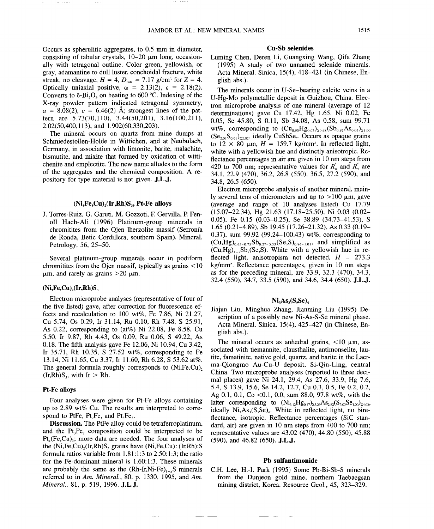Occurs as spherulitic aggregates, to 0.5 mm in diameter, consisting of tabular crystals,  $10-20 \mu m$  long, occasionally with tetragonal outline. Color green, yellowish, or gray, adamantine to dull luster, conchoidal fracture, white streak, no cleavage,  $H = 4$ ,  $D_{\text{calc}} = 7.17$  g/cm<sup>3</sup> for  $Z = 4$ . Optically uniaxial positive,  $\omega = 2.13(2)$ ,  $\epsilon = 2.18(2)$ . Converts to  $\delta$ -Bi<sub>2</sub>O<sub>3</sub> on heating to 600 °C. Indexing of the X-ray powder pattern indicated tetragonal symmetry,  $a = 8.08(2)$ ,  $c = 6.46(2)$  Å; strongest lines of the pattern are 5.73(70,110), 3.44(50,201), 3.16(100,211), 2.02(50,400,113), and 1.902(60,330,203).

The mineral occurs on quartz from mine dumps at Schmiedestollen-Holde in Wittichen, and at Neubulach, Germany, in association with limonite, barite, malachite, bismutite, and mixite that formed by oxidation of wittichenite and emplectite. The new name alludes to the form of the aggregates and the chemical composition. A repository for type material is not given. J.L.J.

### $(Ni,Fe,Cu)_{2}(Ir,Rh)S_{3}$ , Pt-Fe alloys

J. Torres-Ruiz, G. Garuti, M. Gozzoti, F Gervilla, P Fen-011 Hach-Ali (1996) Platinum-group minerals in chromitites from the Ojen lherzolite massif (Serronfa de Ronda, Betic Cordillera, southern Spain). Mineral. Petrology, 56, 25-50.

Several platinum-group minerals occur in podiform chromitites from the Ojen massif, typically as grains < 10  $\mu$ m, and rarely as grains >20  $\mu$ m.

### $(Ni,Fe,Cu)$ <sub>2</sub> $(Ir,Rh)S$ <sub>3</sub>

Electron microprobe analyses (representative of four of the five listed) gave, after correction for fluorescence effects and recalculation to 100 wt%, Fe 7.86, Ni 21.27, Cu 5.74, Os 0.29, Ir 31.14, Ru 0.10, Rh 7.48, S 25.91, As 0.22, corresponding to (at%) Ni 22.08, Fe 8.58, Cu 5.50, Ir 9.87, Rh 4.43, Os 0.09, Ru 0.06, S 49.22, As 0.18. The fifth analysis gave Fe 12.06, Ni 10.94, Cu 3.42, Ir 35.71, Rh 10.35, S 27.52 wt%, corresponding to Fe 13.14, Ni 11.65, Cu 3.37, Ir 11.60, Rh 6.28, S 53.62 at%. The general formula roughly corresponds to (Ni,Fe,Cu),  $(Ir, Rh)S_3$ , with Ir > Rh.

### Pt-Fe alloys

Four analyses were given for Pt-Fe alloys containing up to 2.89 wt% Cu. The results are interpreted to correspond to PtFe, Pt, Fe, and Pt, Fe.

Discussion. The PtFe alloy could be tetraferroplatinum, and the  $Pt_3Fe_2$  composition could be interpreted to be  $Pt_4(Fe,Cu)_3$ ; more data are needed. The four analyses of the  $(Ni,Fe,Cu)$ ,  $(Ir,Rh)S$ , grains have  $(Ni,Fe,Cu)$ :  $(Ir,Rh):S$ formula ratios variable from 1.81:1:3 to 2.50:1:3; the ratio for the Fe-dominant mineral is 1.60:1:3. These minerals are probably the same as the  $(Rh-Ir,Ni-Fe)_{1}$ , S minerals referred to in *Am. Mineral.,* 80, p. 1330, 1995, and *Am. Mineral.,* 81, p. 519, 1996. J.L.J.

#### Cu-Sb selenides

Luming Chen, Deren Li, Guangxing Wang, Qifa Zhang (1995) A study of two unnamed selenide minerals. Acta Mineral. Sinica, 15(4), 418-421 (in Chinese, English abs.).

The minerals occur in U-Se-bearing calcite veins in a U-Hg-Mo polymetallic deposit in Guizhou, China. Electron microprobe analysis of one mineral (average of 12 determinations) gave Cu 17.42, Hg 1.65, Ni 0.02, Fe 0.05, Se 45.80, S 0.11, Sb 34.08, As 0.58, sum 99.71 wt%, corresponding to  $(Cu_{0.95}Hg_{0.03})_{\Sigma_{0.98}}(Sb_{0.97}As_{0.03})_{\Sigma_{1.00}}$  $(Se_{2.01}S_{0.01})_{\Sigma2.02}$ , ideally CuSbSe<sub>2</sub>. Occurs as opaque grains to  $12 \times 80$   $\mu$ m,  $H = 159.7$  kg/mm<sup>2</sup>. In reflected light, white with a yellowish hue and distinctly anisotropic. Reflectance percentages in air are given in 10 nm steps from 420 to 700 nm; representative values for  $R'_a$  and  $R'_b$  are 34.1,22.9 (470), 36.2, 26.8 (550), 36.5, 27.2 (590), and 34.8, 26.5 (650).

Electron microprobe analysis of another mineral, mainly several tens of micrometers and up to  $>100 \mu$ m, gave (average and range of 10 analyses listed) Cu 17.79 (15.07-22.34), Hg 21.63 (17.18-25.50), Ni 0.03 (0.02- 0.05), Fe 0.15 (0.03-0.25), Se 38.89 (34.73-41.53), S 1.65 (0.21-4.89), Sb 19.45 (17.26-21.32), As 0.33 (0.19- 0.37), sum 99.92 (99.24-100.43) wt%, corresponding to  $(Cu,Hg)_{0.65-0.75}Sb_{0.27-0.33}(Se,S)_{0.96-1.01}$ , and simplified as  $(Cu,Hg)_{1-x}Sb_x(Se,S)$ . White with a yellowish hue in reflected light, anisotropism not detected,  $H = 273.3$ kg/mm2. Reflectance percentages, given in 10 nm steps as for the preceding mineral, are 33.9, 32.3 (470), 34.3, 32.4 (550), 34.7, 33.5 (590), and 34.6, 34.4 (650). J.L.J.

### $Ni<sub>3</sub>As<sub>3</sub>(S,Se)<sub>4</sub>$

Jiajun Liu, Minghua Zhang, Jianming Liu (1995) Description of a possibly new Ni-As-S-Se mineral phase. Acta Mineral. Sinica, 15(4), 425–427 (in Chinese, English abs.).

The mineral occurs as anhedral grains,  $\lt 10 \mu m$ , associated with tiemannite, clausthalite, antimonselite, lautite, famatinite, native gold, quartz, and barite in the Laerma-Qiongmo Au-Cu-U deposit, Si-Qin-Ling, central China. Two microprobe analyses (reported to three decimal places) gave Ni 24.1, 29.4, As 27.6, 33.9, Hg 7.6, 5.4, S 13.9, 15.6, Se 14.2, 12.7, Cu 0.3, 0.5, Fe 0.2, 0.2, Ag 0.1, 0.1, Co < 0.1, 0.0, sum 88.0, 97.8 wt%, with the latter corresponding to  $(Ni_{3.12}Hg_{0.17})_{23.29}As_{2.82}(S_{3.03}Se_{1.00})_{24.03}$ , ideally  $Ni<sub>3</sub>As<sub>3</sub>(S,Se)<sub>4</sub>$ . White in reflected light, no bireflectance, isotropic. Reflectance percentages (SiC standard, air) are given in 10 nm steps from 400 to 700 nm; representative values are 43.02 (470), 44.80 (550), 45.88 (590), and 46.82 (650). J.L.J.

#### Pb sulfantimonide

C.H. Lee, H.-I. Park (1995) Some Pb-Bi-Sb-S minerals from the Dunjeon gold mine, northern Taebaegsan mining district, Korea. Resource Geol., 45, 323-329.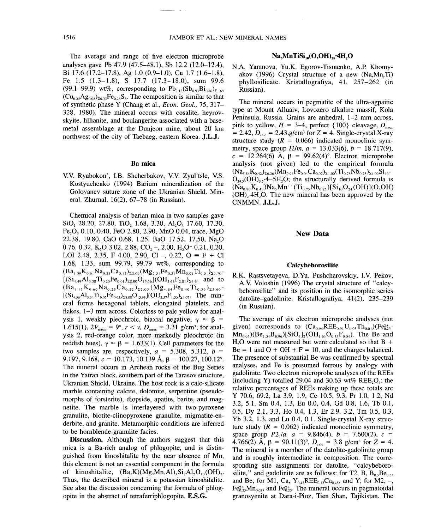The average and range of five electron microprobe analyses gave Pb 47.9 (47.5-48.1), Sb 12.2 (12.0-12.4), Bi 17.6 (17.2-17.8), Ag 1.0 (0.9-1.0), Cu 1.7 (1.6-1.8), Fe 1.5 (1.3-1.8), S 17.7 (17.3-18.0), sum 99.6 (99.1–99.9) wt%, corresponding to  $Pb_{2,12}(Sb_{0.93}Bi_{0.76})_{\Sigma1,69}$  $(Cu_{0.25}Ag_{0.08})_{\Sigma_{0.33}}Fe_{0.25}S_5$ . The composition is similar to that of synthetic phase Y (Chang et aI., *Econ. Geol.,* 75, 317- 328, 1980). The mineral occurs with cosalite, heyrovskyite, lillianite, and boulangerite associated with a basemetal assemblage at the Dunjeon mine, about 20 km northwest of the city of Taebaeg, eastern Korea. J.L.J.

### Ba mica

v.v. Ryabokon', LB. Shcherbakov, v.v. Zyul'tsle, V.S. Kostyuchenko (1994) Barium mineralization of the Golovanev suture zone of the Ukranian Shield. Mineral. Zhurnal, 16(2), 67-78 (in Russian).

Chemical analysis of barian mica in two samples gave SiO, 28.20, 27.80, TiO, 1.68, 3.30, Al<sub>2</sub>O<sub>3</sub> 17.60, 17.30, Fe<sub>2</sub>O<sub>3</sub> 0.10, 0.40, FeO 2.80, 2.90, MnO 0.04, trace, MgO 22.38, 19.80, CaO 0.68, 1.25, BaO 17.52, 17.50, Na<sub>2</sub>O 0.76, 0.32, K<sub>2</sub>O 3.02, 2.88, CO<sub>2</sub> -, 2.00, H<sub>2</sub>O<sup>-</sup> 0.21, 0.20, LOI 2.48, 2.35, F 4.00, 2.90, CI -, 0.22,  $O = F + CI$ <br>1.68, 1.33, sum, 99.79, 99.79, wt%, corresponding to 1.68, 1.33, sum 99.79, 99.79 wt%, corresponding to  $(Ba_{1.09}K_{0.61}Na_{0.23}Ca_{0.12})_{\Sigma2.06}(Mg_{5.31}Fe_{0.37}Mn_{0.01}Ti_{0.01})_{\Sigma5.70}$  $[(Si_{4,49}Al_{3,30}Ti_{0,20}Fe_{0,01})_{\Sigma 8,00}O_{15,36}](OH_{2,63}F_{2,01})_{\Sigma 4,64}$  and to  $(Ba_{1,12}K_{0.60}Na_{0.23}Ca_{0.22})_{\Sigma2.05} (Mg_{4.84}Fe_{0.40}Ti_{0.36})_{\Sigma5.60}$  $[(Si<sub>4,56</sub>Al<sub>3,34</sub>Ti<sub>0.05</sub>Fe<sub>0.05</sub>)<sub>28.00</sub>O<sub>15.93</sub>](OH<sub>2,57</sub>F<sub>1,50</sub>)<sub>24.07</sub>$ . The minerai forms hexagonal tablets, elongated platelets, and flakes, 1-3 mm across. Colorless to pale yellow for analysis 1, weakly pleochroic, biaxial negative,  $\gamma \approx \beta$  = 1.615(1),  $2V_{\text{meas}} = 9^{\circ}$ ,  $r < v$ ,  $D_{\text{meas}} = 3.31$  *g/cm<sup>3</sup>*; for analysis 2, red-orange color, more markedly pleochroic (in reddish hues),  $\gamma \approx \beta = 1.633(1)$ . Cell parameters for the two samples are, respectively,  $a = 5.308, 5.312, b =$ 9.197, 9.168,  $c = 10.173$ , 10.139 Å,  $\beta = 100.27$ , 100.12°. The mineral occurs in Archean rocks of the Bug Series in the Yatran block, southern part of the Tarasov structure, Ukranian Shield, Ukraine. The host rock is a calc-silicate marble containing calcite, dolomite, serpentine (pseudomorphs of forsterite), diopside, apatite, barite, and magnetite. The marble is interlayered with two-pyroxene granulite, biotite-clinopyroxene granulite, migmatite-enderbite, and granite. Metamorphic conditions are inferred to be hornblende-granulite facies.

Discussion. Although the authors suggest that this mica is a Ba-rich analog of phlogopite, and is distinguished from kinoshitalite by the near absence of Mn, this element is not an essential component in the formula of kinoshitalite,  $(Ba,K)(Mg,Mn,A1),Si<sub>2</sub>Al<sub>2</sub>O<sub>10</sub>(OH)<sub>2</sub>$ . Thus, the described mineral is a potassian kinoshitalite. See also the discussion concerning the formula of phlogopite in the abstract of tetraferriphlogopite. E.S.G.

### $Na<sub>6</sub>MnTiSi<sub>10</sub>(O,OH)<sub>28</sub>·4H,O$

N.A. Yamnova, YU.K. Egorov-Tismenko, A.P. Khomyakov (1996) Crystal structure of a new (Na,Mn,Ti) pbyllosilicate. Kristallografiya, 41, 257-262 (in Russian).

The mineral occurs in pegmatite of the ultra-agpaitic type at Mount Alluaiv, Lovozero alkaline massif, Kola Peninsula, Russia. Grains are anhedral, 1-2 mm across, pink to yellow,  $H = 3-4$ , perfect  $\{100\}$  cleavage,  $D_{\text{meas}}$  $= 2.42$ ,  $D_{\text{calc}} = 2.43$  g/cm<sup>3</sup> for  $Z = 4$ . Single-crystal X-ray structure study  $(R = 0.066)$  indicated monoclinic symmetry, space group  $I2/m$ ,  $a = 13.033(6)$ ,  $b = 18.717(9)$ ,  $c = 12.264(6)$  Å,  $\beta = 99.62(4)$ °. Electron microprobe analysis (not given) led to the empirical formula  $(N a_{5.84}K_{0.42})_{\Sigma 6.26} (M n_{0.94}Fe_{0.04}Ca_{0.02})_{\Sigma 1.00} (Ti_{0.75}Nb_{0.25})_{\Sigma 1.00} Si_{10}$  $O<sub>24.5</sub>(OH)<sub>3.5</sub>·4–5H<sub>2</sub>O$ ; the structurally derived formula is  $(N a_{0.80} K_{0.45})Na_5Mn^{2+} (Ti_{0.75}Nb_{0.25})[Si_{10}O_{24}(OH)](O,OH)$  $(OH)<sub>2</sub>·4H<sub>2</sub>O$ . The new mineral has been approved by the CNMMN. J.L.J.

### New Data

### Calcybeborosilite

R.K. Rastsvetayeva, D.Yu. Pushcharovskiy, LV. Pekov, A.Y. Voloshin (1996) The crystal structure of "calcybeborosilite" and its position in the isomorphic series datolite-gadolinite. Kristallografiya, 41(2), 235-239 (in Russian).

The average of six electron microprobe analyses (not given) corresponds to  $(Ca_{0.94}REE_{0.91}U_{0.03}Th_{0.01})(Fe_{0.25}^{2+})$  $Mn_{0.05}$ )(Be<sub>1.04</sub>B<sub>0.96</sub>)[SiO<sub>4</sub>]<sub>2</sub>(OH<sub>1.63</sub>O<sub>0.33</sub>F<sub>0.04</sub>). The Be and  $H<sub>2</sub>O$  were not measured but were calculated so that B +  $\overline{Be} = 1$  and  $\overline{O} + \overline{OH} + \overline{F} = 10$ , and the charges balanced.<br>The presence of substantial Be was confirmed by spectral The presence of substantial Be was confirmed by spectral analyses, and Fe is presumed ferrous by analogy with gadolinite. Two electron microprobe analyses of the REEs (including Y) totalled 29.04 and 30.63 wt% REE, $O_i$ ; the relative percentages of REEs making up these totals are Y 70.6, 69.2, La 3.9, 1.9, Ce 10.5, 9.3, Pr 1.0, 1.2, Nd 3.2, 5.1, Sm 0.4, 1.3, Eu 0.0, 0.4, Gd 0.8, 1.6, Tb 0.1, 0.5, Dy 2.1, 3.3, Ho 0.4, 1.3, Er 2.9, 3.2, Tm 0.5, 0.3, Yb 3.2, 1.3, and Lu 0.4, 0.1. Single-crystal X-ray structure study  $(R = 0.062)$  indicated monoclinic symmetry, space group  $P2_1/a$ ,  $a = 9.846(4)$ ,  $b = 7.600(2)$ ,  $c =$ 4.766(2) A,  $\beta = 90.11(3)^\circ$ ,  $D_{\text{calc}} = 3.8$  g/cm<sup>3</sup> for  $Z = 4$ . The mineral is a member of the datolite-gadolinite group and is roughly intermediate in composition. The corresponding site assignments for datolite, "calcybeborosilite," and gadolinite are as follows: for T2, B,  $B_{0.5}Be_{0.5}$ , and Be; for M1, Ca,  $Y_{0,42}REE_{0,13}Ca_{0,45}$ , and Y; for M2, -,  $Fe<sub>0.25</sub><sup>2+</sup>Mn<sub>0.05</sub>$ , and  $Fe<sub>0.25</sub><sup>2+</sup>$ . The mineral occurs in pegmatoidal granosyenite at Dara-i-Pioz, Tien Shan, Tajikistan. The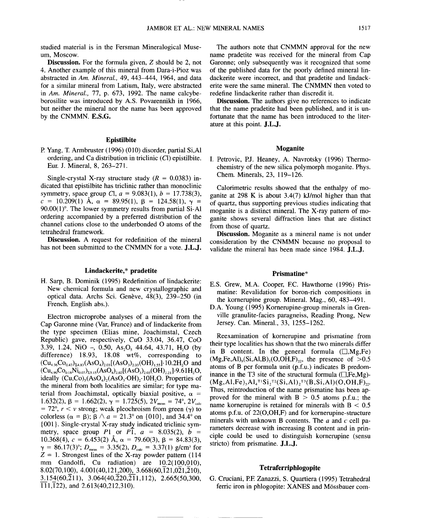studied material is in the Fersman Mineralogical Museum, Moscow.

Discussion. For the formula given, Z should be 2, not 4. Another example of this mineral from Dara-i-Pioz was abstracted in *Am. Mineral.,* 49, 443-444, 1964, and data for a similar mineral from Latium, Italy, were abstracted in *Am. Mineral.,* 77, p. 673, 1992. The name calcybeborosilite was introduced by A.S. Povarennikh in 1966, but neither the mineral nor the name has been approved by the CNMMN. E.S.G.

### Epistilbite

P Yang, T. Armbruster (1996) (010) disorder, partial Si,Al ordering, and Ca distribution in triclinic (Cl) epistilbite. Eur. J. Mineral, 8, 263-271.

Single-crystal X-ray structure study  $(R = 0.0383)$  indicated that epistilbite has triclinic rather than monoclinic symmetry, space group Cl,  $a = 9.083(1)$ ,  $b = 17.738(3)$ ,  $c = 10.209(1)$  Å,  $\alpha = 89.95(1)$ ,  $\beta = 124.58(1)$ ,  $\gamma =$  $90.00(1)$ °. The lower symmetry results from partial Si-Al ordering accompanied by a preferred distribution of the channel cations close to the underbonded 0 atoms of the tetrahedral framework.

Discussion. A request for redefinition of the mineral has not been submitted to the CNMMN for a vote. J.L.J.

# Lindackerite,\* pradeti

H. Sarp, B. Dominik (1995) Redefinition of lindackerite: New chemical formula and new crystallographic and optical data. Archs Sci. Genève, 48(3), 239-250 (in French, English abs.).

Electron microprobe analyses of a mineral from the Cap Garonne mine (Var, France) and of lindackerite from the type specimen (Elias mine, Joachimstal, Czech Republic) gave, respectively, CuO 33.04, 36.47, CoO 3.39, 1.24, NiO  $-$ , 0.50, As<sub>p</sub>O<sub>s</sub> 44.64, 43.71, H<sub>2</sub>O (by difference) 18.93, 18.08 wt%, corresponding to  $(Cu_{4,36}Co_{0,47})_{54,83}(AsO_4)_{2,03}[(AsO_3)_{2,03}(OH)_{1,53}]$ .10.2H<sub>2</sub>O and  $(Cu_{4.90}Co_{0.18}Ni_{0.07})_{25.15}(AsO_4)_{2.02}[(AsO_3)_{2.03} (OH)_{2.21}]$ .9.61H<sub>2</sub>O, ideally  $(Cu, Co)_{5}(AsO<sub>4</sub>)_{2}(AsO<sub>3</sub>·OH)<sub>2</sub>·10H<sub>2</sub>O$ . Properties of the mineral from both localities are similar; for type material from Joachimstal, optically biaxial positive,  $\alpha$  = 1.632(2),  $\beta = 1.662(2)$ ,  $\gamma = 1.725(5)$ ,  $2V_{\text{meas}} = 74^{\circ}$ ,  $2V_{\text{calc}}$  $= 72^{\circ}$ ,  $r < v$  strong; weak pleochroism from green ( $\gamma$ ) to colorless ( $\alpha = \beta$ );  $\beta \wedge a = 21.3^{\circ}$  on {010}, and 34.4° on  ${001}$ . Single-crystal X-ray study indicated triclinic symmetry, space group *P*1 or *PI*,  $a = 8.035(2)$ ,  $b =$ 10.368(4),  $c = 6.453(2)$  Å,  $\alpha = 79.60(3)$ ,  $\beta = 84.83(3)$ ,  $\gamma = 86.17(3)$ °;  $D_{\text{meas}} = 3.35(2)$ ,  $D_{\text{calc}} = 3.37(1)$  *g/cm<sup>3</sup>* for  $Z = 1$ . Strongest lines of the X-ray powder pattern (114) mm Gandolfi, Cu radiation) are 10.2(100,010), 8.02(70,100), 4.001(40,121,200), 3.668(60, $\overline{1}21,0\overline{2}1,\overline{2}10$ ), *~15j(60,211),* 3.064(40,220,211,112), 2.665(50,300,  $\overline{111,122}$ , and 2.613(40,212,310).

The authors note that CNMMN approval for the new name pradetite was received for the mineral from Cap Garonne; only subsequently was it recognized that some of the published data for the poorly defined mineral lindackerite were incorrect, and that pradetite and lindackerite were the same mineral. The CNMMN then voted to redefine lindackerite rather than discredit it.

Discussion. The authors give no references to indicate that the name pradetite had been published, and it is unfortunate that the name has been introduced to the literature at this point. J.L.J.

#### Moganite

I. Petrovic, PJ. Heaney, A Navrotsky (1996) Thermochemistry of the new silica polymorph moganite. Phys. Chern. Minerals, 23, 119-126.

Calorimetric results showed that the enthalpy of moganite at 298 K is about 3.4(7) *kllmol* higher than that of quartz, thus supporting previous studies indicating that moganite is a distinct mineral. The X-ray pattern of moganite shows several diffraction lines that are distinct from those of quartz.

Discussion. Moganite as a mineral name is not under consideration by the CNMMN because no proposal to validate the mineral has been made since 1984. J.L.J.

### Prismatine\*

- E.S. Grew, M.A. Cooper, F.C. Hawthorne (1996) Prismatine: Revalidation for boron-rich compositions in the kornerupine group. Mineral. Mag., 60, 483-491.
- D.A. Young (1995) Kornerupine-group minerals in Grenville granulite-facies paragneiss, Reading Prong, New Jersey. Can. Mineral., 33, 1255-1262.

Reexamination of kornerupine and prismatine from their type localities has shown that the two minerals differ in B content. In the general formula  $(\square, Mg, Fe)$  $(Mg,Fe,Al)_9(Si,Al,B)_5(O,OH,F)_{22}$ , the presence of  $>0.5$ atoms of B per formula unit (p.f.u.) indicates B predominance in the T3 site of the structural formula ( $\square$ , Fe, Mg)- $(Mg, Al,Fe), Al_{4}^{T1}Si_{2}^{T2}(Si, Al)_{2}^{T3}(B, Si, Al)(O,OH, F)_{22'}$ Thus, reintroduction of the name prismatine has been approved for the mineral with  $B > 0.5$  atoms p.f.u.; the name kornerupine is retained for minerals with  $B < 0.5$ atoms p.f.u. of 22(O,OH,F) and for kornerupine-structure minerals with unknown B contents. The *a* and *c* cell parameters decrease with increasing B content and in principle could be used to distinguish kornerupine (sensu stricto) from prismatine. J.L.J.

### Tetraferriphlogopite

G. Cruciani, PF. Zanazzi, S. Quartiera (1995) Tetrahedral ferric iron in phlogopite: XANES and Mössbauer com